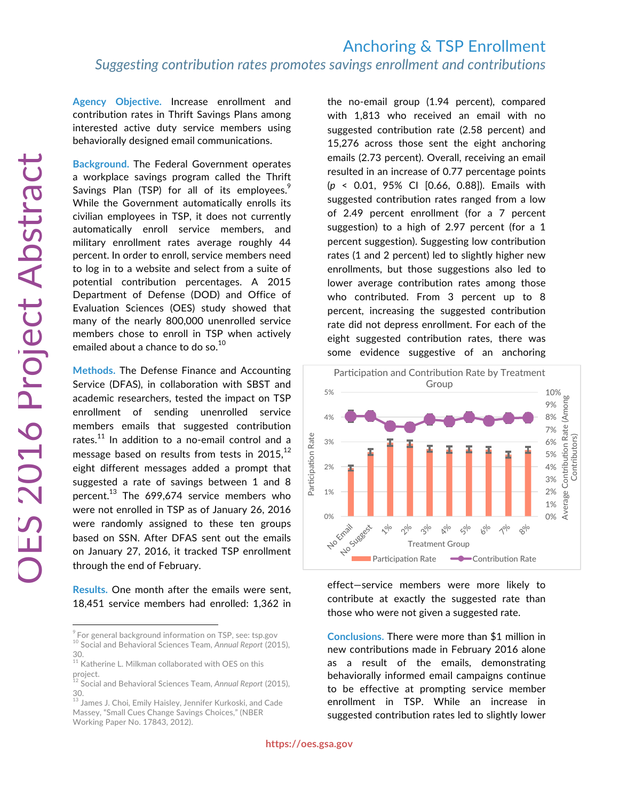**Agency Objective.** Increase enrollment and contribution rates in Thrift Savings Plans among interested active duty service members using behaviorally designed email communications.

**Background.** The Federal Government operates a workplace savings program called the Thrift Savings Plan (TSP) for all of its employees.<sup>9</sup> While the Government automatically enrolls its civilian employees in TSP, it does not currently automatically enroll service members, and military enrollment rates average roughly 44 percent. In order to enroll, service members need to log in to a website and select from a suite of potential contribution percentages. A 2015 Department of Defense (DOD) and Office of Evaluation Sciences (OES) study showed that many of the nearly 800,000 unenrolled service members chose to enroll in TSP when actively emailed about a chance to do so.<sup>10</sup>

**Methods.** The Defense Finance and Accounting Service (DFAS), in collaboration with SBST and academic researchers, tested the impact on TSP enrollment of sending unenrolled service members emails that suggested contribution rates. $^{11}$  In addition to a no-email control and a message based on results from tests in 2015, $^{12}$ eight different messages added a prompt that suggested a rate of savings between 1 and 8 percent.<sup>13</sup> The 699,674 service members who were not enrolled in TSP as of January 26, 2016 were randomly assigned to these ten groups based on SSN. After DFAS sent out the emails on January 27, 2016, it tracked TSP enrollment through the end of February.

**Results.** One month after the emails were sent, 18,451 service members had enrolled: 1,362 in the no-email group (1.94 percent), compared with 1,813 who received an email with no suggested contribution rate (2.58 percent) and 15,276 across those sent the eight anchoring emails (2.73 percent). Overall, receiving an email resulted in an increase of 0.77 percentage points (*p* < 0.01, 95% CI [0.66, 0.88]). Emails with suggested contribution rates ranged from a low of 2.49 percent enrollment (for a 7 percent suggestion) to a high of 2.97 percent (for a 1 percent suggestion). Suggesting low contribution rates (1 and 2 percent) led to slightly higher new enrollments, but those suggestions also led to lower average contribution rates among those who contributed. From 3 percent up to 8 percent, increasing the suggested contribution rate did not depress enrollment. For each of the eight suggested contribution rates, there was some evidence suggestive of an anchoring



effect—service members were more likely to contribute at exactly the suggested rate than those who were not given a suggested rate.

**Conclusions.** There were more than \$1 million in new contributions made in February 2016 alone as a result of the emails, demonstrating behaviorally informed email campaigns continue to be effective at prompting service member enrollment in TSP. While an increase in suggested contribution rates led to slightly lower

<sup>&</sup>lt;sup>9</sup> For general background information on TSP, see: tsp.gov <sup>10</sup> Social and Behavioral Sciences Team, *Annual Report* (2015), 30.

 $11$  Katherine L. Milkman collaborated with OES on this project.

<sup>12</sup> Social and Behavioral Sciences Team, *Annual Report* (2015), 30.

 $^{\rm 13}$  James J. Choi, Emily Haisley, Jennifer Kurkoski, and Cade Massey, "Small Cues Change Savings Choices," (NBER Working Paper No. 17843, 2012).